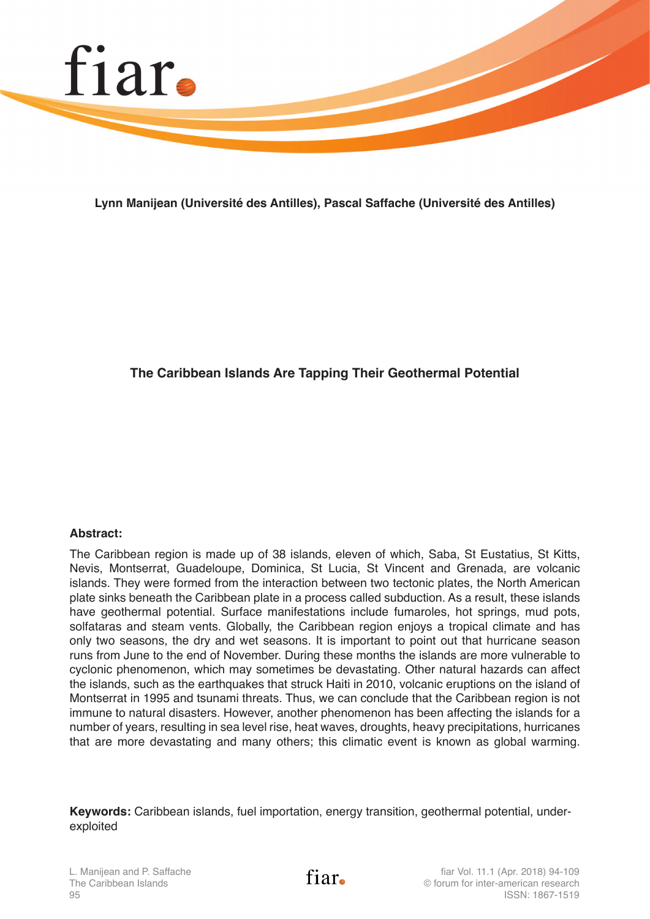

**Lynn Manijean (Université des Antilles), Pascal Saffache (Université des Antilles)**

# **The Caribbean Islands Are Tapping Their Geothermal Potential**

## **Abstract:**

The Caribbean region is made up of 38 islands, eleven of which, Saba, St Eustatius, St Kitts, Nevis, Montserrat, Guadeloupe, Dominica, St Lucia, St Vincent and Grenada, are volcanic islands. They were formed from the interaction between two tectonic plates, the North American plate sinks beneath the Caribbean plate in a process called subduction. As a result, these islands have geothermal potential. Surface manifestations include fumaroles, hot springs, mud pots, solfataras and steam vents. Globally, the Caribbean region enjoys a tropical climate and has only two seasons, the dry and wet seasons. It is important to point out that hurricane season runs from June to the end of November. During these months the islands are more vulnerable to cyclonic phenomenon, which may sometimes be devastating. Other natural hazards can affect the islands, such as the earthquakes that struck Haiti in 2010, volcanic eruptions on the island of Montserrat in 1995 and tsunami threats. Thus, we can conclude that the Caribbean region is not immune to natural disasters. However, another phenomenon has been affecting the islands for a number of years, resulting in sea level rise, heat waves, droughts, heavy precipitations, hurricanes that are more devastating and many others; this climatic event is known as global warming.

**Keywords:** Caribbean islands, fuel importation, energy transition, geothermal potential, underexploited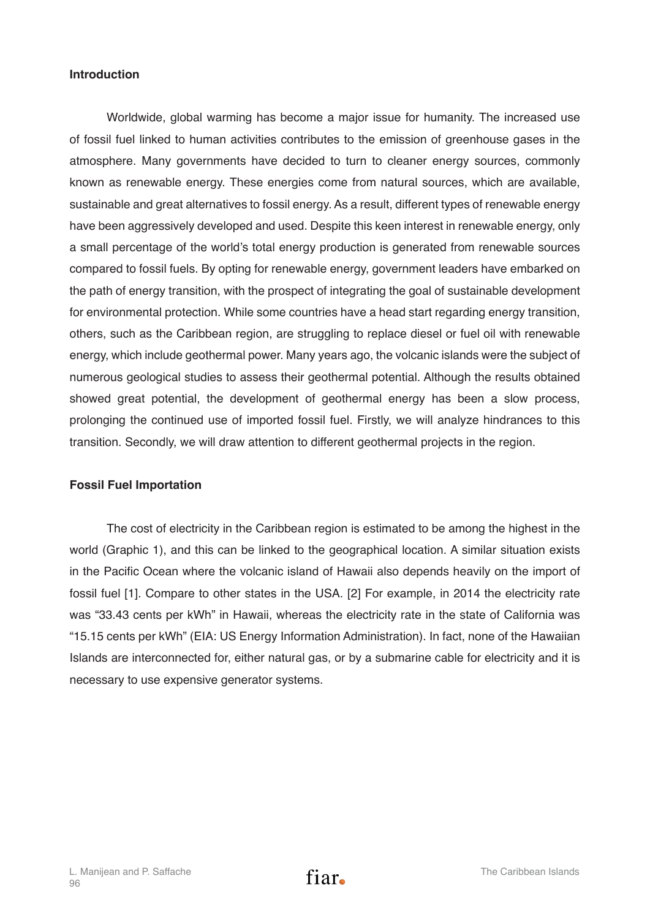## **Introduction**

Worldwide, global warming has become a major issue for humanity. The increased use of fossil fuel linked to human activities contributes to the emission of greenhouse gases in the atmosphere. Many governments have decided to turn to cleaner energy sources, commonly known as renewable energy. These energies come from natural sources, which are available, sustainable and great alternatives to fossil energy. As a result, different types of renewable energy have been aggressively developed and used. Despite this keen interest in renewable energy, only a small percentage of the world's total energy production is generated from renewable sources compared to fossil fuels. By opting for renewable energy, government leaders have embarked on the path of energy transition, with the prospect of integrating the goal of sustainable development for environmental protection. While some countries have a head start regarding energy transition, others, such as the Caribbean region, are struggling to replace diesel or fuel oil with renewable energy, which include geothermal power. Many years ago, the volcanic islands were the subject of numerous geological studies to assess their geothermal potential. Although the results obtained showed great potential, the development of geothermal energy has been a slow process, prolonging the continued use of imported fossil fuel. Firstly, we will analyze hindrances to this transition. Secondly, we will draw attention to different geothermal projects in the region.

## **Fossil Fuel Importation**

The cost of electricity in the Caribbean region is estimated to be among the highest in the world (Graphic 1), and this can be linked to the geographical location. A similar situation exists in the Pacific Ocean where the volcanic island of Hawaii also depends heavily on the import of fossil fuel [1]. Compare to other states in the USA. [2] For example, in 2014 the electricity rate was "33.43 cents per kWh" in Hawaii, whereas the electricity rate in the state of California was "15.15 cents per kWh" (EIA: US Energy Information Administration). In fact, none of the Hawaiian Islands are interconnected for, either natural gas, or by a submarine cable for electricity and it is necessary to use expensive generator systems.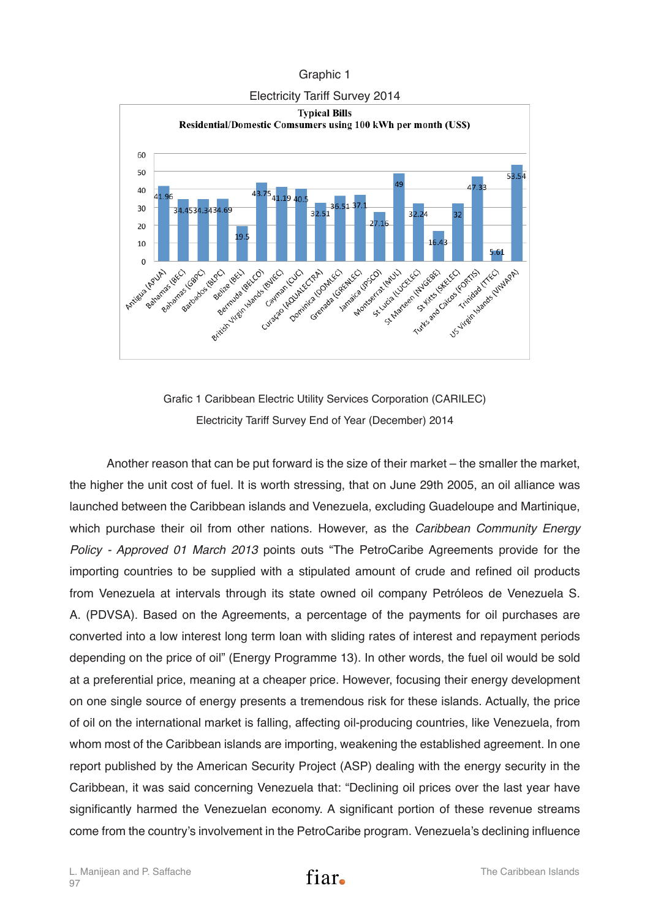#### Graphic 1



Grafic 1 Caribbean Electric Utility Services Corporation (CARILEC) Electricity Tariff Survey End of Year (December) 2014

Another reason that can be put forward is the size of their market – the smaller the market, the higher the unit cost of fuel. It is worth stressing, that on June 29th 2005, an oil alliance was launched between the Caribbean islands and Venezuela, excluding Guadeloupe and Martinique, which purchase their oil from other nations. However, as the *Caribbean Community Energy Policy - Approved 01 March 2013* points outs "The PetroCaribe Agreements provide for the importing countries to be supplied with a stipulated amount of crude and refined oil products from Venezuela at intervals through its state owned oil company Petróleos de Venezuela S. A. (PDVSA). Based on the Agreements, a percentage of the payments for oil purchases are converted into a low interest long term loan with sliding rates of interest and repayment periods depending on the price of oil" (Energy Programme 13). In other words, the fuel oil would be sold at a preferential price, meaning at a cheaper price. However, focusing their energy development on one single source of energy presents a tremendous risk for these islands. Actually, the price of oil on the international market is falling, affecting oil-producing countries, like Venezuela, from whom most of the Caribbean islands are importing, weakening the established agreement. In one report published by the American Security Project (ASP) dealing with the energy security in the Caribbean, it was said concerning Venezuela that: "Declining oil prices over the last year have significantly harmed the Venezuelan economy. A significant portion of these revenue streams come from the country's involvement in the PetroCaribe program. Venezuela's declining influence

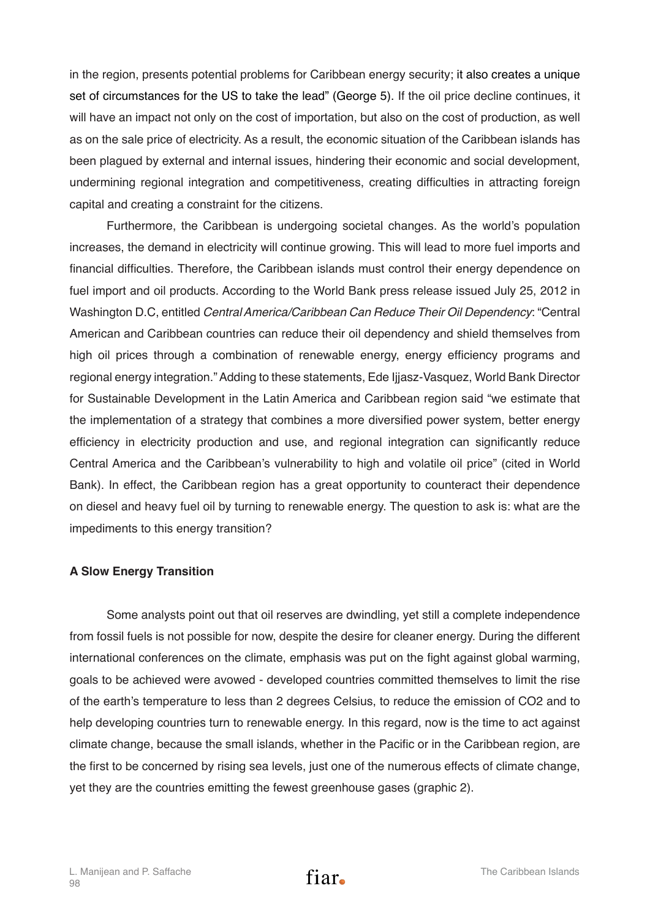in the region, presents potential problems for Caribbean energy security; it also creates a unique set of circumstances for the US to take the lead" (George 5). If the oil price decline continues, it will have an impact not only on the cost of importation, but also on the cost of production, as well as on the sale price of electricity. As a result, the economic situation of the Caribbean islands has been plagued by external and internal issues, hindering their economic and social development, undermining regional integration and competitiveness, creating difficulties in attracting foreign capital and creating a constraint for the citizens.

Furthermore, the Caribbean is undergoing societal changes. As the world's population increases, the demand in electricity will continue growing. This will lead to more fuel imports and financial difficulties. Therefore, the Caribbean islands must control their energy dependence on fuel import and oil products. According to the World Bank press release issued July 25, 2012 in Washington D.C, entitled *Central America/Caribbean Can Reduce Their Oil Dependency*: "Central American and Caribbean countries can reduce their oil dependency and shield themselves from high oil prices through a combination of renewable energy, energy efficiency programs and regional energy integration." Adding to these statements, Ede Ijjasz‐Vasquez, World Bank Director for Sustainable Development in the Latin America and Caribbean region said "we estimate that the implementation of a strategy that combines a more diversified power system, better energy efficiency in electricity production and use, and regional integration can significantly reduce Central America and the Caribbean's vulnerability to high and volatile oil price" (cited in World Bank). In effect, the Caribbean region has a great opportunity to counteract their dependence on diesel and heavy fuel oil by turning to renewable energy. The question to ask is: what are the impediments to this energy transition?

## **A Slow Energy Transition**

Some analysts point out that oil reserves are dwindling, yet still a complete independence from fossil fuels is not possible for now, despite the desire for cleaner energy. During the different international conferences on the climate, emphasis was put on the fight against global warming, goals to be achieved were avowed - developed countries committed themselves to limit the rise of the earth's temperature to less than 2 degrees Celsius, to reduce the emission of CO2 and to help developing countries turn to renewable energy. In this regard, now is the time to act against climate change, because the small islands, whether in the Pacific or in the Caribbean region, are the first to be concerned by rising sea levels, just one of the numerous effects of climate change, yet they are the countries emitting the fewest greenhouse gases (graphic 2).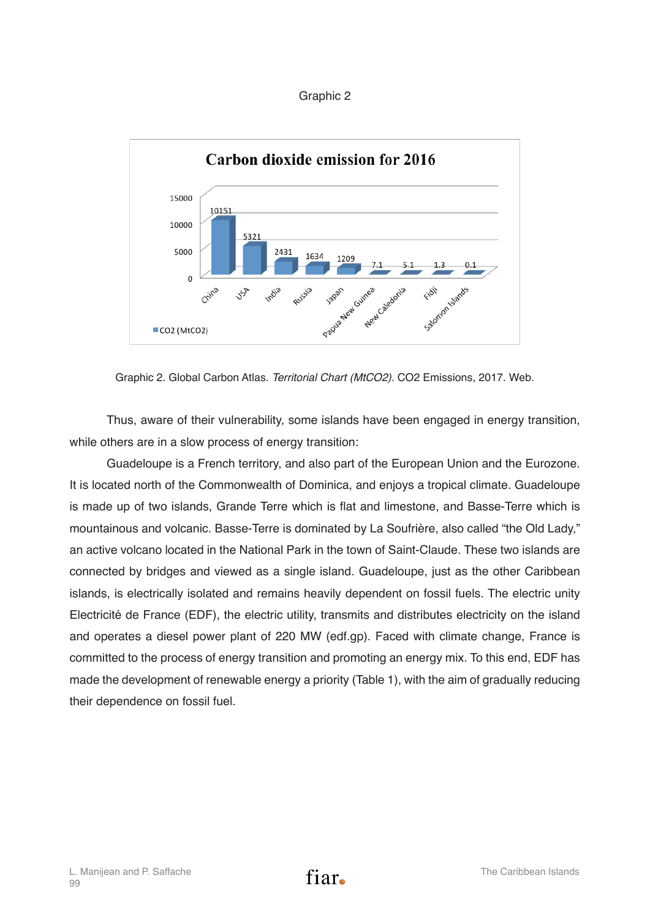#### Graphic 2



Graphic 2. Global Carbon Atlas. *Territorial Chart (MtCO2).* CO2 Emissions, 2017. Web.

Thus, aware of their vulnerability, some islands have been engaged in energy transition, while others are in a slow process of energy transition:

Guadeloupe is a French territory, and also part of the European Union and the Eurozone. It is located north of the Commonwealth of Dominica, and enjoys a tropical climate. Guadeloupe is made up of two islands, Grande Terre which is flat and limestone, and Basse-Terre which is mountainous and volcanic. Basse-Terre is dominated by La Soufrière, also called "the Old Lady," an active volcano located in the National Park in the town of Saint-Claude. These two islands are connected by bridges and viewed as a single island. Guadeloupe, just as the other Caribbean islands, is electrically isolated and remains heavily dependent on fossil fuels. The electric unity Electricité de France (EDF), the electric utility, transmits and distributes electricity on the island and operates a diesel power plant of 220 MW (edf.gp). Faced with climate change, France is committed to the process of energy transition and promoting an energy mix. To this end, EDF has made the development of renewable energy a priority (Table 1), with the aim of gradually reducing their dependence on fossil fuel.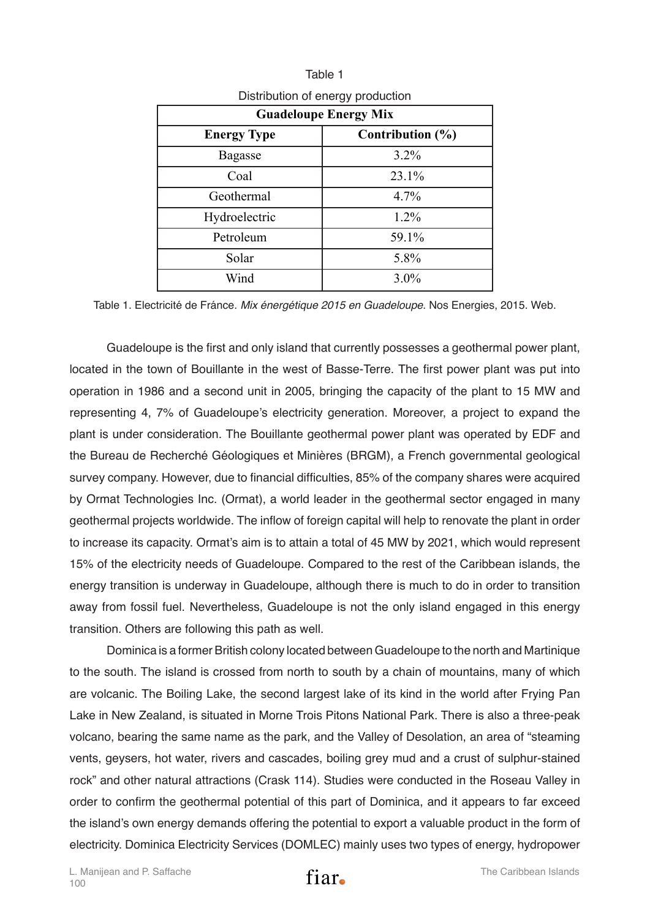| <b>Guadeloupe Energy Mix</b> |                      |  |
|------------------------------|----------------------|--|
| <b>Energy Type</b>           | Contribution $(\% )$ |  |
| <b>Bagasse</b>               | $3.2\%$              |  |
| Coal                         | 23.1%                |  |
| Geothermal                   | 4.7%                 |  |
| Hydroelectric                | 1.2%                 |  |
| Petroleum                    | 59.1%                |  |
| Solar                        | 5.8%                 |  |
| Wind                         | $3.0\%$              |  |

Table 1 Distribution of energy production

Table 1. Electricité de Fránce. *Mix énergétique 2015 en Guadeloupe*. Nos Energies, 2015. Web.

Guadeloupe is the first and only island that currently possesses a geothermal power plant, located in the town of Bouillante in the west of Basse-Terre. The first power plant was put into operation in 1986 and a second unit in 2005, bringing the capacity of the plant to 15 MW and representing 4, 7% of Guadeloupe's electricity generation. Moreover, a project to expand the plant is under consideration. The Bouillante geothermal power plant was operated by EDF and the Bureau de Recherché Géologiques et Minières (BRGM), a French governmental geological survey company. However, due to financial difficulties, 85% of the company shares were acquired by Ormat Technologies Inc. (Ormat), a world leader in the geothermal sector engaged in many geothermal projects worldwide. The inflow of foreign capital will help to renovate the plant in order to increase its capacity. Ormat's aim is to attain a total of 45 MW by 2021, which would represent 15% of the electricity needs of Guadeloupe. Compared to the rest of the Caribbean islands, the energy transition is underway in Guadeloupe, although there is much to do in order to transition away from fossil fuel. Nevertheless, Guadeloupe is not the only island engaged in this energy transition. Others are following this path as well.

Dominica is a former British colony located between Guadeloupe to the north and Martinique to the south. The island is crossed from north to south by a chain of mountains, many of which are volcanic. The Boiling Lake, the second largest lake of its kind in the world after Frying Pan Lake in New Zealand, is situated in Morne Trois Pitons National Park. There is also a three-peak volcano, bearing the same name as the park, and the Valley of Desolation, an area of "steaming vents, geysers, hot water, rivers and cascades, boiling grey mud and a crust of sulphur-stained rock" and other natural attractions (Crask 114). Studies were conducted in the Roseau Valley in order to confirm the geothermal potential of this part of Dominica, and it appears to far exceed the island's own energy demands offering the potential to export a valuable product in the form of electricity. Dominica Electricity Services (DOMLEC) mainly uses two types of energy, hydropower

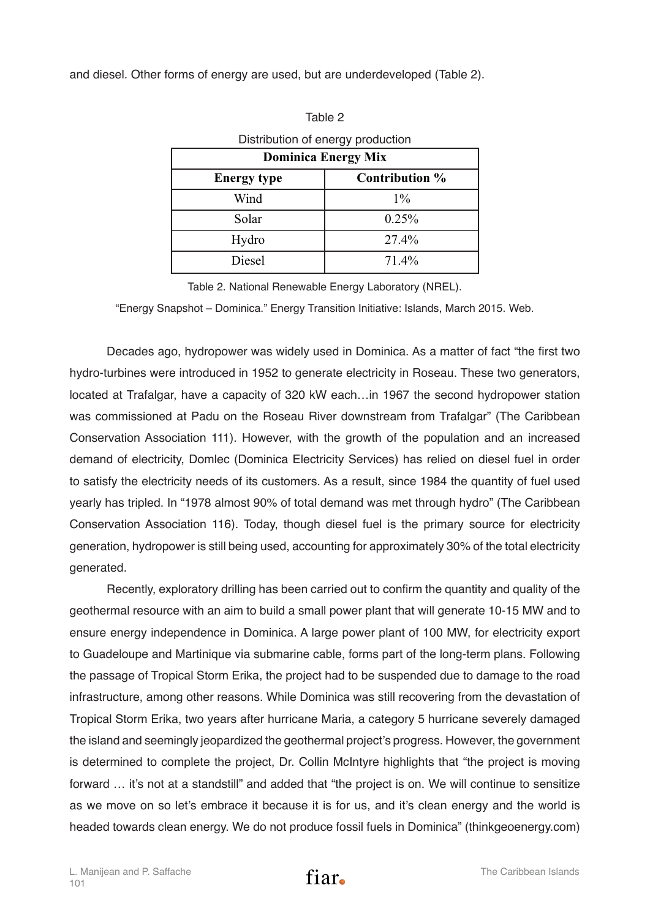and diesel. Other forms of energy are used, but are underdeveloped (Table 2).

| Distribution of energy production |                |  |
|-----------------------------------|----------------|--|
| <b>Dominica Energy Mix</b>        |                |  |
| <b>Energy type</b>                | Contribution % |  |
| Wind                              | $1\%$          |  |
| Solar                             | 0.25%          |  |
| Hydro                             | 27.4%          |  |
| Diesel                            | 71.4%          |  |

| C<br>e ser |  |
|------------|--|

Table 2. National Renewable Energy Laboratory (NREL).

"Energy Snapshot – Dominica." Energy Transition Initiative: Islands, March 2015. Web.

Decades ago, hydropower was widely used in Dominica. As a matter of fact "the first two hydro-turbines were introduced in 1952 to generate electricity in Roseau. These two generators, located at Trafalgar, have a capacity of 320 kW each…in 1967 the second hydropower station was commissioned at Padu on the Roseau River downstream from Trafalgar" (The Caribbean Conservation Association 111). However, with the growth of the population and an increased demand of electricity, Domlec (Dominica Electricity Services) has relied on diesel fuel in order to satisfy the electricity needs of its customers. As a result, since 1984 the quantity of fuel used yearly has tripled. In "1978 almost 90% of total demand was met through hydro" (The Caribbean Conservation Association 116). Today, though diesel fuel is the primary source for electricity generation, hydropower is still being used, accounting for approximately 30% of the total electricity generated.

Recently, exploratory drilling has been carried out to confirm the quantity and quality of the geothermal resource with an aim to build a small power plant that will generate 10-15 MW and to ensure energy independence in Dominica. A large power plant of 100 MW, for electricity export to Guadeloupe and Martinique via submarine cable, forms part of the long-term plans. Following the passage of Tropical Storm Erika, the project had to be suspended due to damage to the road infrastructure, among other reasons. While Dominica was still recovering from the devastation of Tropical Storm Erika, two years after hurricane Maria, a category 5 hurricane severely damaged the island and seemingly jeopardized the geothermal project's progress. However, the government is determined to complete the project, Dr. Collin McIntyre highlights that "the project is moving forward … it's not at a standstill" and added that "the project is on. We will continue to sensitize as we move on so let's embrace it because it is for us, and it's clean energy and the world is headed towards clean energy. We do not produce fossil fuels in Dominica" (thinkgeoenergy.com)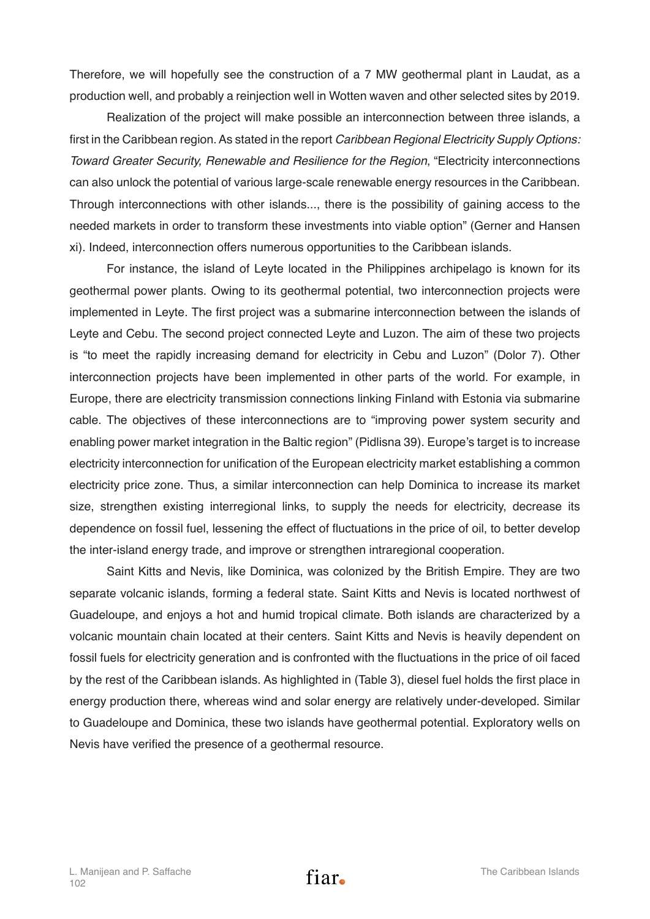Therefore, we will hopefully see the construction of a 7 MW geothermal plant in Laudat, as a production well, and probably a reinjection well in Wotten waven and other selected sites by 2019.

Realization of the project will make possible an interconnection between three islands, a first in the Caribbean region. As stated in the report *Caribbean Regional Electricity Supply Options: Toward Greater Security, Renewable and Resilience for the Region*, "Electricity interconnections can also unlock the potential of various large-scale renewable energy resources in the Caribbean. Through interconnections with other islands..., there is the possibility of gaining access to the needed markets in order to transform these investments into viable option" (Gerner and Hansen xi). Indeed, interconnection offers numerous opportunities to the Caribbean islands.

For instance, the island of Leyte located in the Philippines archipelago is known for its geothermal power plants. Owing to its geothermal potential, two interconnection projects were implemented in Leyte. The first project was a submarine interconnection between the islands of Leyte and Cebu. The second project connected Leyte and Luzon. The aim of these two projects is "to meet the rapidly increasing demand for electricity in Cebu and Luzon" (Dolor 7). Other interconnection projects have been implemented in other parts of the world. For example, in Europe, there are electricity transmission connections linking Finland with Estonia via submarine cable. The objectives of these interconnections are to "improving power system security and enabling power market integration in the Baltic region" (Pidlisna 39). Europe's target is to increase electricity interconnection for unification of the European electricity market establishing a common electricity price zone. Thus, a similar interconnection can help Dominica to increase its market size, strengthen existing interregional links, to supply the needs for electricity, decrease its dependence on fossil fuel, lessening the effect of fluctuations in the price of oil, to better develop the inter-island energy trade, and improve or strengthen intraregional cooperation.

Saint Kitts and Nevis, like Dominica, was colonized by the British Empire. They are two separate volcanic islands, forming a federal state. Saint Kitts and Nevis is located northwest of Guadeloupe, and enjoys a hot and humid tropical climate. Both islands are characterized by a volcanic mountain chain located at their centers. Saint Kitts and Nevis is heavily dependent on fossil fuels for electricity generation and is confronted with the fluctuations in the price of oil faced by the rest of the Caribbean islands. As highlighted in (Table 3), diesel fuel holds the first place in energy production there, whereas wind and solar energy are relatively under-developed. Similar to Guadeloupe and Dominica, these two islands have geothermal potential. Exploratory wells on Nevis have verified the presence of a geothermal resource.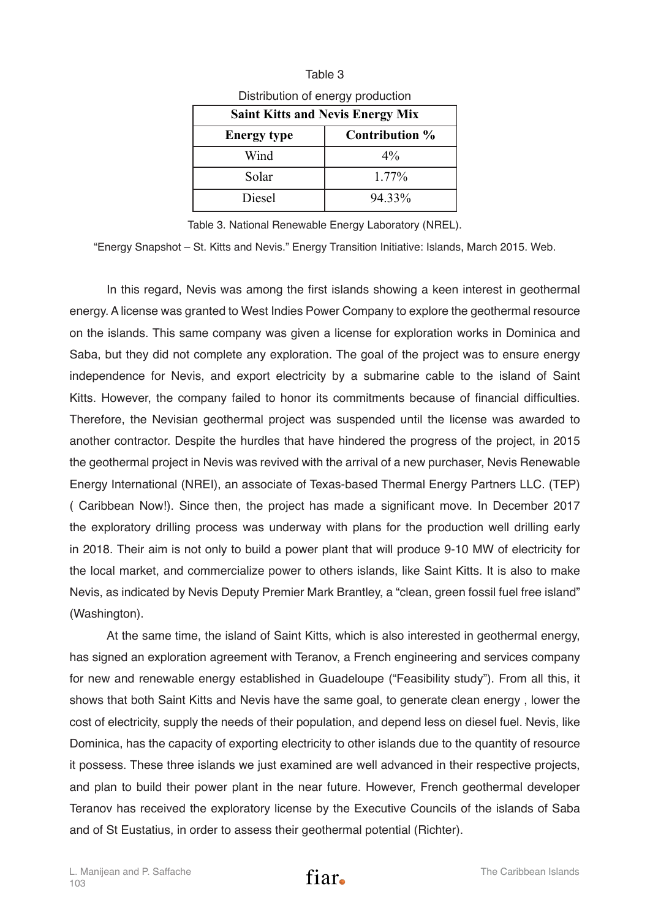| Distribution of energy production       |                |  |
|-----------------------------------------|----------------|--|
| <b>Saint Kitts and Nevis Energy Mix</b> |                |  |
| <b>Energy type</b>                      | Contribution % |  |
| Wind                                    | $4\%$          |  |
| Solar                                   | 1.77%          |  |
| Diesel                                  | 94.33%         |  |

|                                   | Table 3 |  |
|-----------------------------------|---------|--|
| Distribution of energy production |         |  |

Table 3. National Renewable Energy Laboratory (NREL).

"Energy Snapshot – St. Kitts and Nevis." Energy Transition Initiative: Islands, March 2015. Web.

In this regard, Nevis was among the first islands showing a keen interest in geothermal energy. A license was granted to West Indies Power Company to explore the geothermal resource on the islands. This same company was given a license for exploration works in Dominica and Saba, but they did not complete any exploration. The goal of the project was to ensure energy independence for Nevis, and export electricity by a submarine cable to the island of Saint Kitts. However, the company failed to honor its commitments because of financial difficulties. Therefore, the Nevisian geothermal project was suspended until the license was awarded to another contractor. Despite the hurdles that have hindered the progress of the project, in 2015 the geothermal project in Nevis was revived with the arrival of a new purchaser, Nevis Renewable Energy International (NREI), an associate of Texas-based Thermal Energy Partners LLC. (TEP) ( Caribbean Now!). Since then, the project has made a significant move. In December 2017 the exploratory drilling process was underway with plans for the production well drilling early in 2018. Their aim is not only to build a power plant that will produce 9-10 MW of electricity for the local market, and commercialize power to others islands, like Saint Kitts. It is also to make Nevis, as indicated by Nevis Deputy Premier Mark Brantley, a "clean, green fossil fuel free island" (Washington).

At the same time, the island of Saint Kitts, which is also interested in geothermal energy, has signed an exploration agreement with Teranov, a French engineering and services company for new and renewable energy established in Guadeloupe ("Feasibility study"). From all this, it shows that both Saint Kitts and Nevis have the same goal, to generate clean energy , lower the cost of electricity, supply the needs of their population, and depend less on diesel fuel. Nevis, like Dominica, has the capacity of exporting electricity to other islands due to the quantity of resource it possess. These three islands we just examined are well advanced in their respective projects, and plan to build their power plant in the near future. However, French geothermal developer Teranov has received the exploratory license by the Executive Councils of the islands of Saba and of St Eustatius, in order to assess their geothermal potential (Richter).

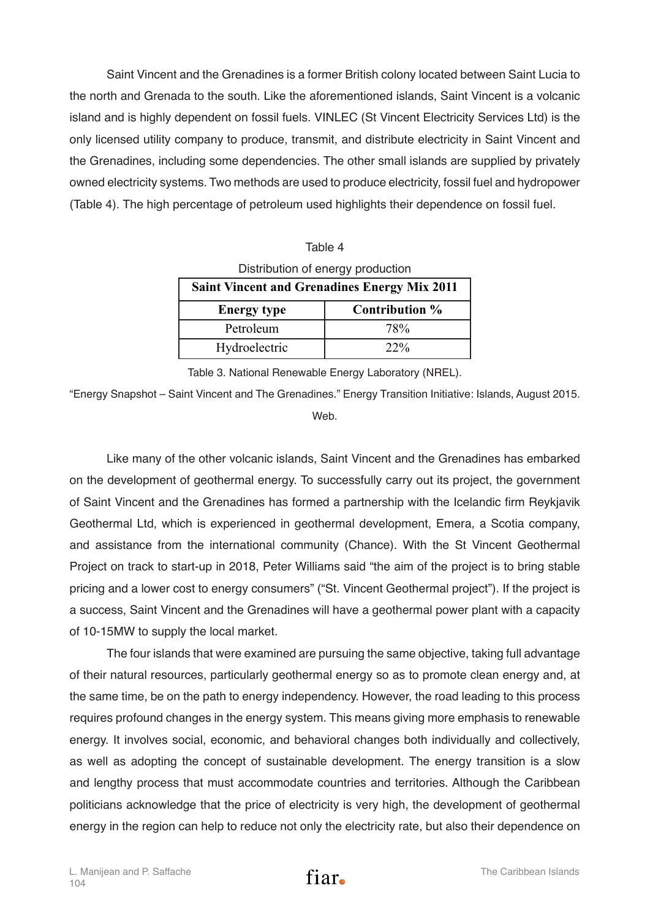Saint Vincent and the Grenadines is a former British colony located between Saint Lucia to the north and Grenada to the south. Like the aforementioned islands, Saint Vincent is a volcanic island and is highly dependent on fossil fuels. VINLEC (St Vincent Electricity Services Ltd) is the only licensed utility company to produce, transmit, and distribute electricity in Saint Vincent and the Grenadines, including some dependencies. The other small islands are supplied by privately owned electricity systems. Two methods are used to produce electricity, fossil fuel and hydropower (Table 4). The high percentage of petroleum used highlights their dependence on fossil fuel.

| Table 4                                             |                |  |
|-----------------------------------------------------|----------------|--|
| Distribution of energy production                   |                |  |
| <b>Saint Vincent and Grenadines Energy Mix 2011</b> |                |  |
|                                                     |                |  |
| <b>Energy type</b>                                  | Contribution % |  |
| Petroleum                                           | 78%            |  |

Table 3. National Renewable Energy Laboratory (NREL).

"Energy Snapshot – Saint Vincent and The Grenadines." Energy Transition Initiative: Islands, August 2015.

Web.

Like many of the other volcanic islands, Saint Vincent and the Grenadines has embarked on the development of geothermal energy. To successfully carry out its project, the government of Saint Vincent and the Grenadines has formed a partnership with the Icelandic firm Reykjavik Geothermal Ltd, which is experienced in geothermal development, Emera, a Scotia company, and assistance from the international community (Chance). With the St Vincent Geothermal Project on track to start-up in 2018, Peter Williams said "the aim of the project is to bring stable pricing and a lower cost to energy consumers" ("St. Vincent Geothermal project"). If the project is a success, Saint Vincent and the Grenadines will have a geothermal power plant with a capacity of 10-15MW to supply the local market.

The four islands that were examined are pursuing the same objective, taking full advantage of their natural resources, particularly geothermal energy so as to promote clean energy and, at the same time, be on the path to energy independency. However, the road leading to this process requires profound changes in the energy system. This means giving more emphasis to renewable energy. It involves social, economic, and behavioral changes both individually and collectively, as well as adopting the concept of sustainable development. The energy transition is a slow and lengthy process that must accommodate countries and territories. Although the Caribbean politicians acknowledge that the price of electricity is very high, the development of geothermal energy in the region can help to reduce not only the electricity rate, but also their dependence on

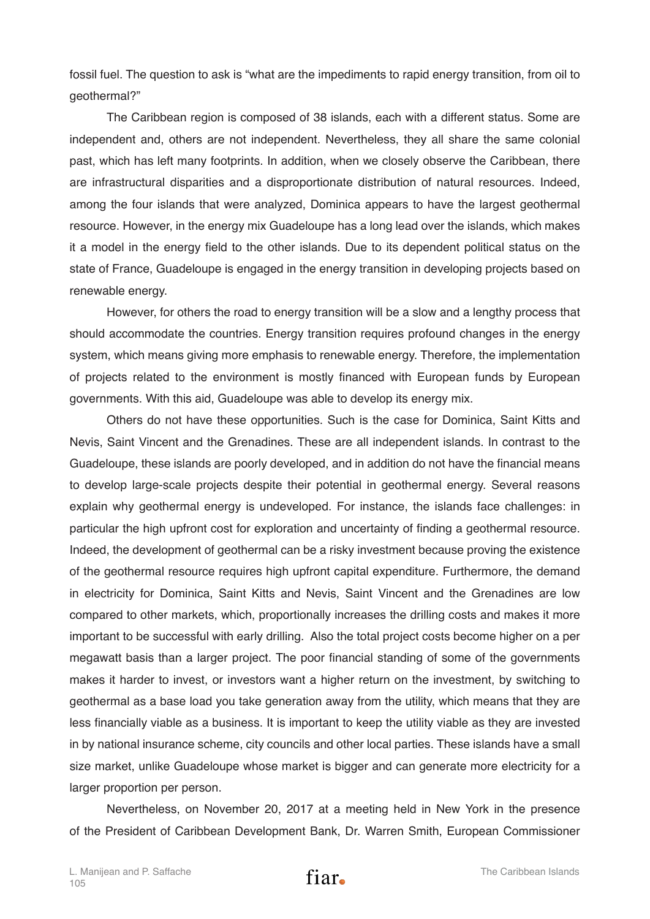fossil fuel. The question to ask is "what are the impediments to rapid energy transition, from oil to geothermal?"

The Caribbean region is composed of 38 islands, each with a different status. Some are independent and, others are not independent. Nevertheless, they all share the same colonial past, which has left many footprints. In addition, when we closely observe the Caribbean, there are infrastructural disparities and a disproportionate distribution of natural resources. Indeed, among the four islands that were analyzed, Dominica appears to have the largest geothermal resource. However, in the energy mix Guadeloupe has a long lead over the islands, which makes it a model in the energy field to the other islands. Due to its dependent political status on the state of France, Guadeloupe is engaged in the energy transition in developing projects based on renewable energy.

However, for others the road to energy transition will be a slow and a lengthy process that should accommodate the countries. Energy transition requires profound changes in the energy system, which means giving more emphasis to renewable energy. Therefore, the implementation of projects related to the environment is mostly financed with European funds by European governments. With this aid, Guadeloupe was able to develop its energy mix.

Others do not have these opportunities. Such is the case for Dominica, Saint Kitts and Nevis, Saint Vincent and the Grenadines. These are all independent islands. In contrast to the Guadeloupe, these islands are poorly developed, and in addition do not have the financial means to develop large-scale projects despite their potential in geothermal energy. Several reasons explain why geothermal energy is undeveloped. For instance, the islands face challenges: in particular the high upfront cost for exploration and uncertainty of finding a geothermal resource. Indeed, the development of geothermal can be a risky investment because proving the existence of the geothermal resource requires high upfront capital expenditure. Furthermore, the demand in electricity for Dominica, Saint Kitts and Nevis, Saint Vincent and the Grenadines are low compared to other markets, which, proportionally increases the drilling costs and makes it more important to be successful with early drilling. Also the total project costs become higher on a per megawatt basis than a larger project. The poor financial standing of some of the governments makes it harder to invest, or investors want a higher return on the investment, by switching to geothermal as a base load you take generation away from the utility, which means that they are less financially viable as a business. It is important to keep the utility viable as they are invested in by national insurance scheme, city councils and other local parties. These islands have a small size market, unlike Guadeloupe whose market is bigger and can generate more electricity for a larger proportion per person.

Nevertheless, on November 20, 2017 at a meeting held in New York in the presence of the President of Caribbean Development Bank, Dr. Warren Smith, European Commissioner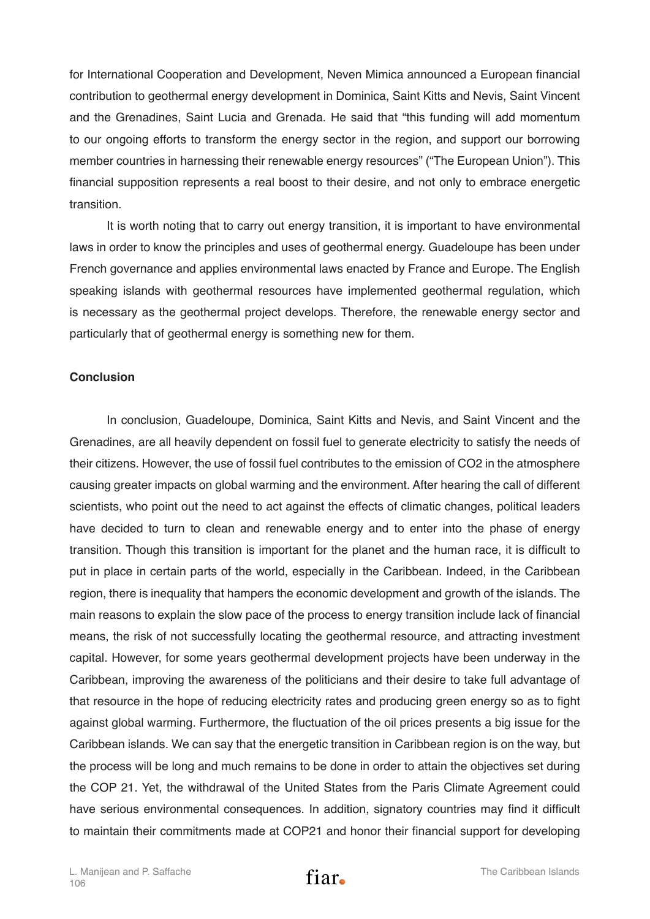for International Cooperation and Development, Neven Mimica announced a European financial contribution to geothermal energy development in Dominica, Saint Kitts and Nevis, Saint Vincent and the Grenadines, Saint Lucia and Grenada. He said that "this funding will add momentum to our ongoing efforts to transform the energy sector in the region, and support our borrowing member countries in harnessing their renewable energy resources" ("The European Union"). This financial supposition represents a real boost to their desire, and not only to embrace energetic transition.

It is worth noting that to carry out energy transition, it is important to have environmental laws in order to know the principles and uses of geothermal energy. Guadeloupe has been under French governance and applies environmental laws enacted by France and Europe. The English speaking islands with geothermal resources have implemented geothermal regulation, which is necessary as the geothermal project develops. Therefore, the renewable energy sector and particularly that of geothermal energy is something new for them.

## **Conclusion**

In conclusion, Guadeloupe, Dominica, Saint Kitts and Nevis, and Saint Vincent and the Grenadines, are all heavily dependent on fossil fuel to generate electricity to satisfy the needs of their citizens. However, the use of fossil fuel contributes to the emission of CO2 in the atmosphere causing greater impacts on global warming and the environment. After hearing the call of different scientists, who point out the need to act against the effects of climatic changes, political leaders have decided to turn to clean and renewable energy and to enter into the phase of energy transition. Though this transition is important for the planet and the human race, it is difficult to put in place in certain parts of the world, especially in the Caribbean. Indeed, in the Caribbean region, there is inequality that hampers the economic development and growth of the islands. The main reasons to explain the slow pace of the process to energy transition include lack of financial means, the risk of not successfully locating the geothermal resource, and attracting investment capital. However, for some years geothermal development projects have been underway in the Caribbean, improving the awareness of the politicians and their desire to take full advantage of that resource in the hope of reducing electricity rates and producing green energy so as to fight against global warming. Furthermore, the fluctuation of the oil prices presents a big issue for the Caribbean islands. We can say that the energetic transition in Caribbean region is on the way, but the process will be long and much remains to be done in order to attain the objectives set during the COP 21. Yet, the withdrawal of the United States from the Paris Climate Agreement could have serious environmental consequences. In addition, signatory countries may find it difficult to maintain their commitments made at COP21 and honor their financial support for developing

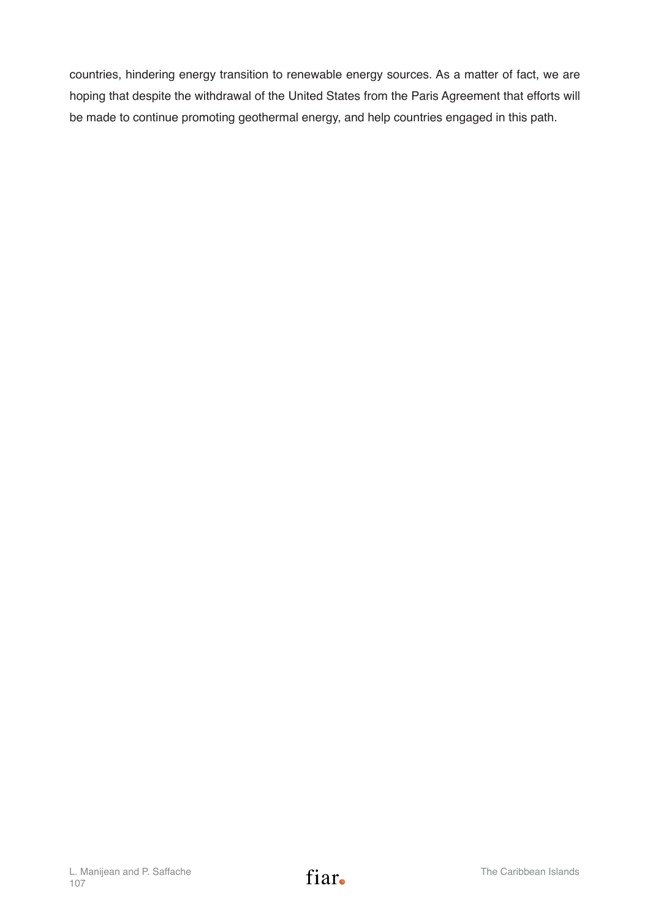countries, hindering energy transition to renewable energy sources. As a matter of fact, we are hoping that despite the withdrawal of the United States from the Paris Agreement that efforts will be made to continue promoting geothermal energy, and help countries engaged in this path.

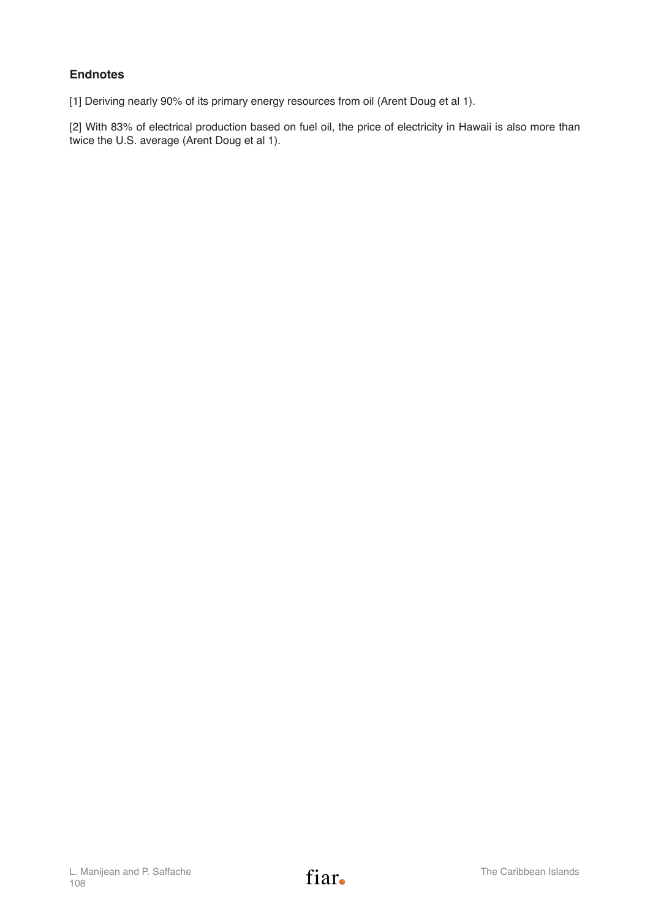## **Endnotes**

[1] Deriving nearly 90% of its primary energy resources from oil (Arent Doug et al 1).

[2] With 83% of electrical production based on fuel oil, the price of electricity in Hawaii is also more than twice the U.S. average (Arent Doug et al 1).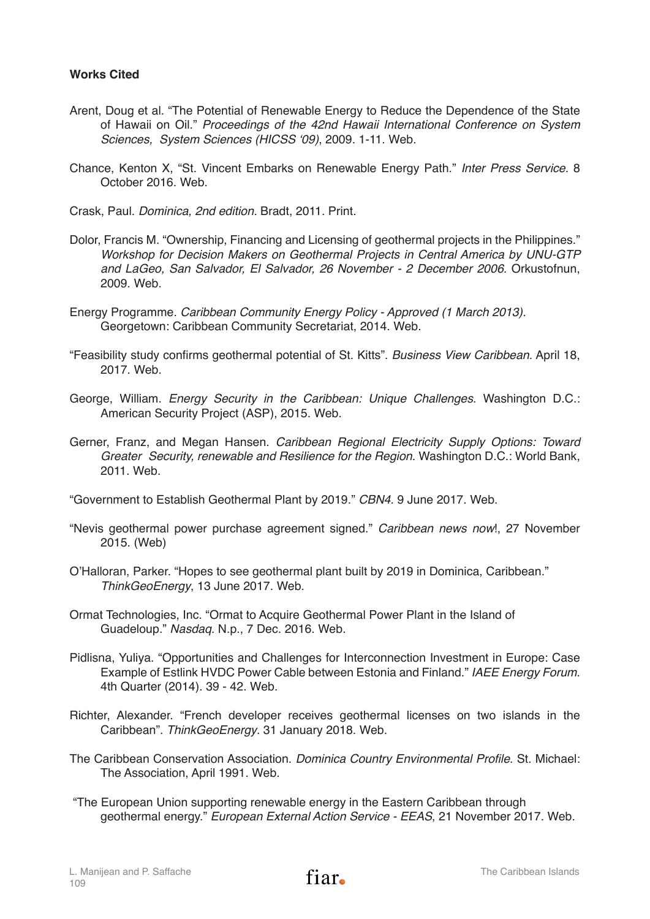## **Works Cited**

- Arent, Doug et al. "The Potential of Renewable Energy to Reduce the Dependence of the State of Hawaii on Oil." *Proceedings of the 42nd Hawaii International Conference on System*  Sciences, System Sciences (HICSS '09), 2009. 1-11. Web.
- Chance, Kenton X, "St. Vincent Embarks on Renewable Energy Path." *Inter Press Service*. 8 October 2016. Web.
- Crask, Paul. *Dominica, 2nd edition.* Bradt, 2011. Print.
- Dolor, Francis M. "Ownership, Financing and Licensing of geothermal projects in the Philippines." *Workshop for Decision Makers on Geothermal Projects in Central America by UNU-GTP and LaGeo, San Salvador, El Salvador, 26 November - 2 December 2006.* Orkustofnun, 2009. Web.
- Energy Programme. *Caribbean Community Energy Policy Approved (1 March 2013).* Georgetown: Caribbean Community Secretariat, 2014. Web.
- "Feasibility study confirms geothermal potential of St. Kitts". *Business View Caribbean*. April 18, 2017. Web.
- George, William. *Energy Security in the Caribbean: Unique Challenges*. Washington D.C.: American Security Project (ASP), 2015. Web.
- Gerner, Franz, and Megan Hansen. *Caribbean Regional Electricity Supply Options: Toward Greater Security, renewable and Resilience for the Region*. Washington D.C.: World Bank, 2011. Web.
- "Government to Establish Geothermal Plant by 2019." *CBN4*. 9 June 2017. Web.
- "Nevis geothermal power purchase agreement signed." *Caribbean news now*!, 27 November 2015. (Web)
- O'Halloran, Parker. "Hopes to see geothermal plant built by 2019 in Dominica, Caribbean." *ThinkGeoEnergy*, 13 June 2017. Web.
- Ormat Technologies, Inc. "Ormat to Acquire Geothermal Power Plant in the Island of Guadeloup." *Nasdaq.* N.p., 7 Dec. 2016. Web.
- Pidlisna, Yuliya. "Opportunities and Challenges for Interconnection Investment in Europe: Case Example of Estlink HVDC Power Cable between Estonia and Finland." *IAEE Energy Forum*. 4th Quarter (2014). 39 - 42. Web.
- Richter, Alexander. "French developer receives geothermal licenses on two islands in the Caribbean". *ThinkGeoEnergy*. 31 January 2018. Web.
- The Caribbean Conservation Association. Dominica Country Environmental Profile. St. Michael: The Association, April 1991. Web.
- "The European Union supporting renewable energy in the Eastern Caribbean through geothermal energy." *European External Action Service - EEAS*, 21 November 2017. Web.